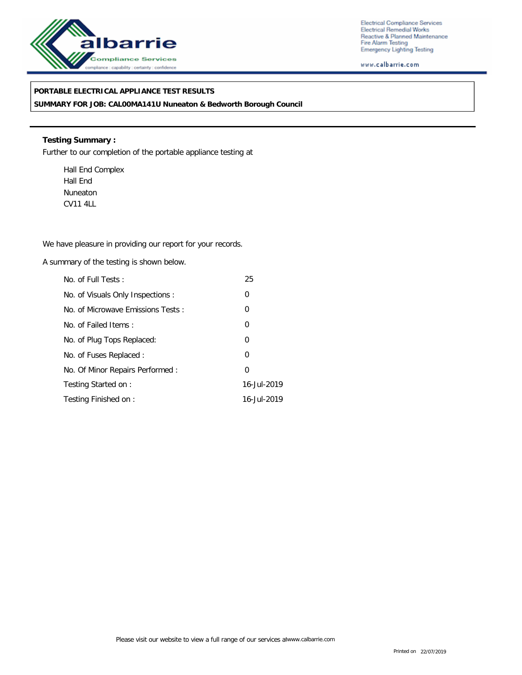

Electrical Compliance Services Electrical Remedial Works Reactive & Planned Maintenance Fire Alarm Testing<br>Emergency Lighting Testing

www.calbarrie.com

## **PORTABLE ELECTRICAL APPLIANCE TEST RESULTS**

**SUMMARY FOR JOB: CAL00MA141U Nuneaton & Bedworth Borough Council**

**Testing Summary :** Further to our completion of the portable appliance testing at

Hall End Complex Hall End Nuneaton CV11 4LL

We have pleasure in providing our report for your records.

A summary of the testing is shown below.

| No. of Full Tests:                | 25             |
|-----------------------------------|----------------|
| No. of Visuals Only Inspections:  | 0              |
| No. of Microwave Emissions Tests: | $\overline{0}$ |
| No. of Failed Items:              | 0              |
| No. of Plug Tops Replaced:        | $\overline{0}$ |
| No. of Fuses Replaced:            | $\overline{0}$ |
| No. Of Minor Repairs Performed:   | $\Omega$       |
| Testing Started on:               | 16-Jul-2019    |
| Testing Finished on:              | 16-Jul-2019    |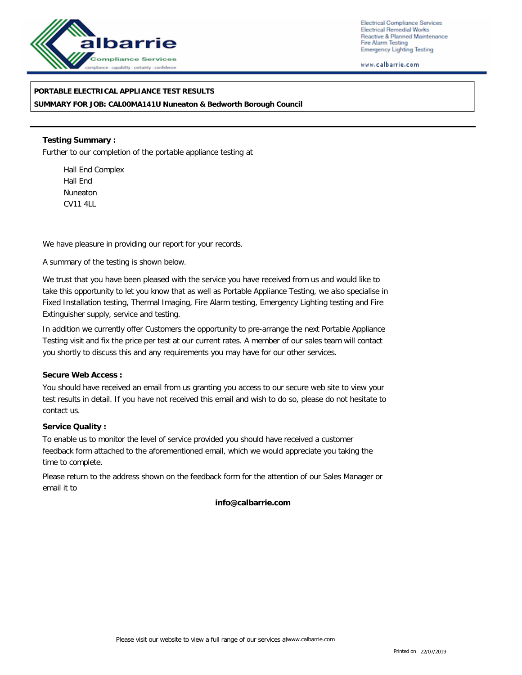

Electrical Compliance Services **Electrical Remedial Works** Reactive & Planned Maintenance Fire Alarm Testing **Emergency Lighting Testing** 

www.calbarrie.com

**PORTABLE ELECTRICAL APPLIANCE TEST RESULTS SUMMARY FOR JOB: CAL00MA141U Nuneaton & Bedworth Borough Council**

**Testing Summary :** Further to our completion of the portable appliance testing at

Hall End Complex Hall End Nuneaton CV11 4LL

We have pleasure in providing our report for your records.

A summary of the testing is shown below.

We trust that you have been pleased with the service you have received from us and would like to take this opportunity to let you know that as well as Portable Appliance Testing, we also specialise in Fixed Installation testing, Thermal Imaging, Fire Alarm testing, Emergency Lighting testing and Fire Extinguisher supply, service and testing.

In addition we currently offer Customers the opportunity to pre-arrange the next Portable Appliance Testing visit and fix the price per test at our current rates. A member of our sales team will contact you shortly to discuss this and any requirements you may have for our other services.

**Secure Web Access :**

You should have received an email from us granting you access to our secure web site to view your test results in detail. If you have not received this email and wish to do so, please do not hesitate to contact us.

**Service Quality :**

To enable us to monitor the level of service provided you should have received a customer feedback form attached to the aforementioned email, which we would appreciate you taking the time to complete.

Please return to the address shown on the feedback form for the attention of our Sales Manager or email it to

**info@calbarrie.com**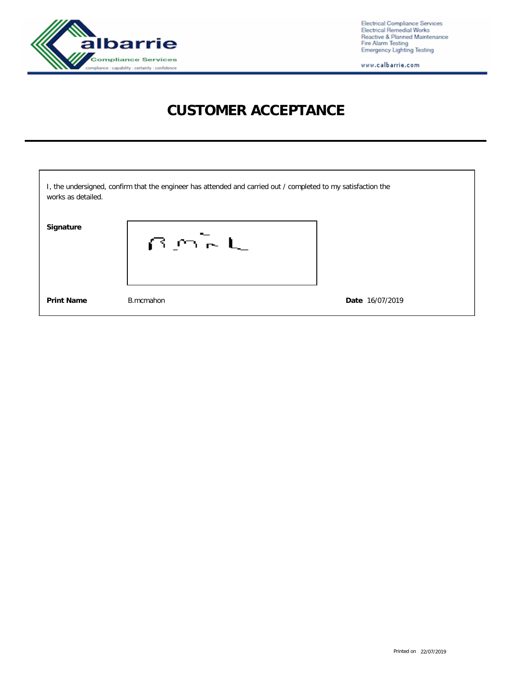

Electrical Compliance Services<br>Electrical Remedial Works<br>Reactive & Planned Maintenance<br>Fire Alarm Testing<br>Emergency Lighting Testing

www.calbarrie.com

## **CUSTOMER ACCEPTANCE**

| works as detailed. | I, the undersigned, confirm that the engineer has attended and carried out / completed to my satisfaction the |                 |
|--------------------|---------------------------------------------------------------------------------------------------------------|-----------------|
| Signature          | $B \cap F$                                                                                                    |                 |
| <b>Print Name</b>  | B.mcmahon                                                                                                     | Date 16/07/2019 |